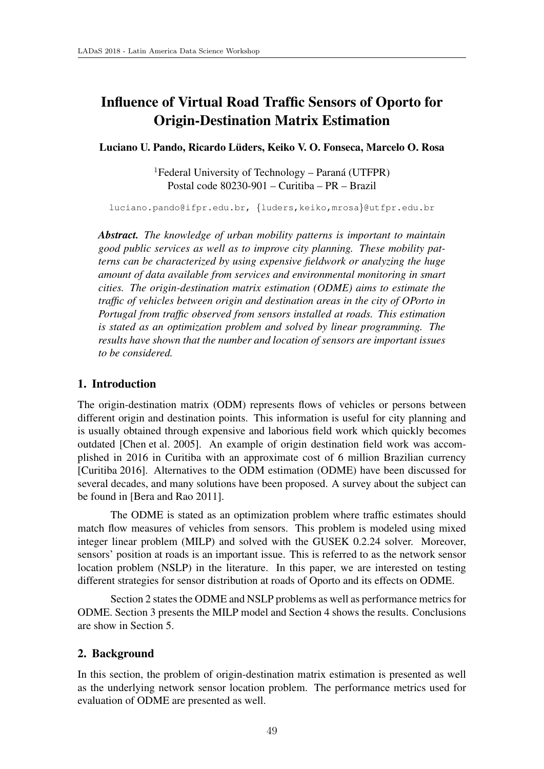# Influence of Virtual Road Traffic Sensors of Oporto for Origin-Destination Matrix Estimation

Luciano U. Pando, Ricardo Luders, Keiko V. O. Fonseca, Marcelo O. Rosa ¨

 ${}^{1}$ Federal University of Technology – Paraná (UTFPR) Postal code 80230-901 – Curitiba – PR – Brazil

luciano.pando@ifpr.edu.br, *{*luders,keiko,mrosa*}*@utfpr.edu.br

*Abstract. The knowledge of urban mobility patterns is important to maintain good public services as well as to improve city planning. These mobility patterns can be characterized by using expensive fieldwork or analyzing the huge amount of data available from services and environmental monitoring in smart cities. The origin-destination matrix estimation (ODME) aims to estimate the traffic of vehicles between origin and destination areas in the city of OPorto in Portugal from traffic observed from sensors installed at roads. This estimation is stated as an optimization problem and solved by linear programming. The results have shown that the number and location of sensors are important issues to be considered.*

## 1. Introduction

The origin-destination matrix (ODM) represents flows of vehicles or persons between different origin and destination points. This information is useful for city planning and is usually obtained through expensive and laborious field work which quickly becomes outdated [Chen et al. 2005]. An example of origin destination field work was accomplished in 2016 in Curitiba with an approximate cost of 6 million Brazilian currency [Curitiba 2016]. Alternatives to the ODM estimation (ODME) have been discussed for several decades, and many solutions have been proposed. A survey about the subject can be found in [Bera and Rao 2011].

The ODME is stated as an optimization problem where traffic estimates should match flow measures of vehicles from sensors. This problem is modeled using mixed integer linear problem (MILP) and solved with the GUSEK 0.2.24 solver. Moreover, sensors' position at roads is an important issue. This is referred to as the network sensor location problem (NSLP) in the literature. In this paper, we are interested on testing different strategies for sensor distribution at roads of Oporto and its effects on ODME.

Section 2 states the ODME and NSLP problems as well as performance metrics for ODME. Section 3 presents the MILP model and Section 4 shows the results. Conclusions are show in Section 5.

# 2. Background

In this section, the problem of origin-destination matrix estimation is presented as well as the underlying network sensor location problem. The performance metrics used for evaluation of ODME are presented as well.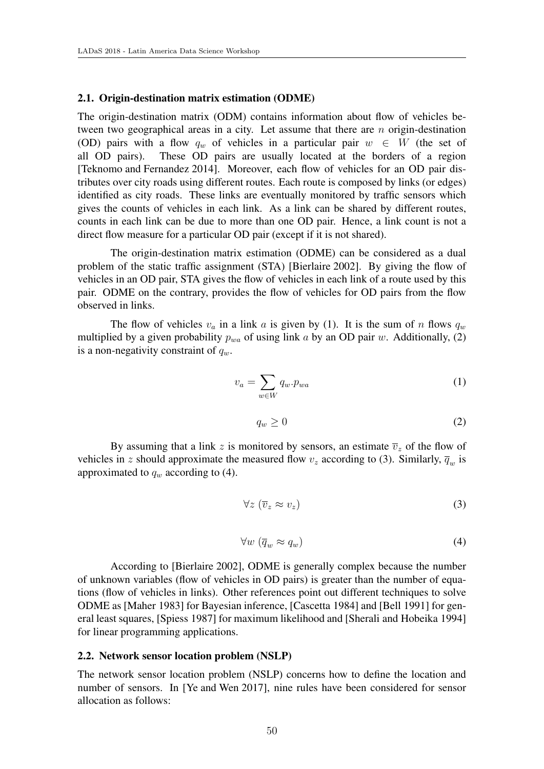#### 2.1. Origin-destination matrix estimation (ODME)

The origin-destination matrix (ODM) contains information about flow of vehicles between two geographical areas in a city. Let assume that there are *n* origin-destination (OD) pairs with a flow  $q_w$  of vehicles in a particular pair  $w \in W$  (the set of all OD pairs). These OD pairs are usually located at the borders of a region These OD pairs are usually located at the borders of a region [Teknomo and Fernandez 2014]. Moreover, each flow of vehicles for an OD pair distributes over city roads using different routes. Each route is composed by links (or edges) identified as city roads. These links are eventually monitored by traffic sensors which gives the counts of vehicles in each link. As a link can be shared by different routes, counts in each link can be due to more than one OD pair. Hence, a link count is not a direct flow measure for a particular OD pair (except if it is not shared).

The origin-destination matrix estimation (ODME) can be considered as a dual problem of the static traffic assignment (STA) [Bierlaire 2002]. By giving the flow of vehicles in an OD pair, STA gives the flow of vehicles in each link of a route used by this pair. ODME on the contrary, provides the flow of vehicles for OD pairs from the flow observed in links.

The flow of vehicles  $v_a$  in a link *a* is given by (1). It is the sum of *n* flows  $q_w$ multiplied by a given probability  $p_{wa}$  of using link *a* by an OD pair *w*. Additionally, (2) is a non-negativity constraint of *qw*.

$$
v_a = \sum_{w \in W} q_w \cdot p_{wa} \tag{1}
$$

$$
q_w \ge 0 \tag{2}
$$

By assuming that a link z is monitored by sensors, an estimate  $\overline{v}_z$  of the flow of vehicles in *z* should approximate the measured flow  $v_z$  according to (3). Similarly,  $\overline{q}_w$  is approximated to  $q_w$  according to (4).

$$
\forall z \left( \overline{v}_z \approx v_z \right) \tag{3}
$$

$$
\forall w \left( \overline{q}_w \approx q_w \right) \tag{4}
$$

According to [Bierlaire 2002], ODME is generally complex because the number of unknown variables (flow of vehicles in OD pairs) is greater than the number of equations (flow of vehicles in links). Other references point out different techniques to solve ODME as [Maher 1983] for Bayesian inference, [Cascetta 1984] and [Bell 1991] for general least squares, [Spiess 1987] for maximum likelihood and [Sherali and Hobeika 1994] for linear programming applications.

#### 2.2. Network sensor location problem (NSLP)

The network sensor location problem (NSLP) concerns how to define the location and number of sensors. In [Ye and Wen 2017], nine rules have been considered for sensor allocation as follows: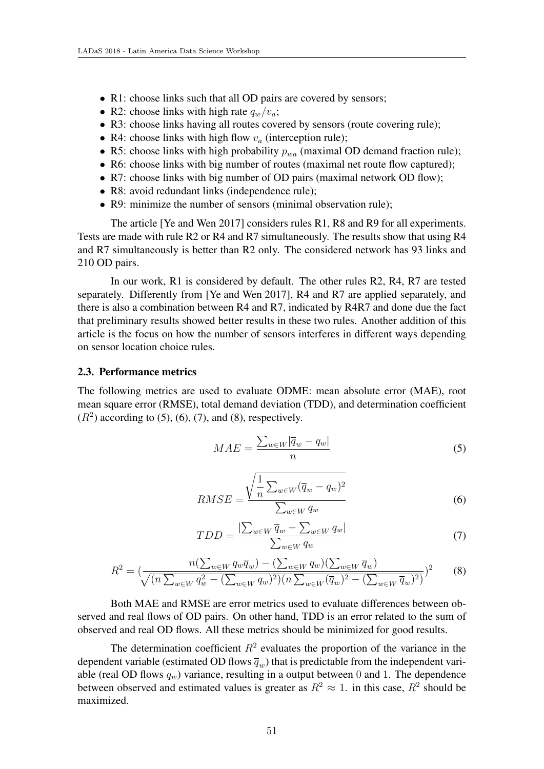- R1: choose links such that all OD pairs are covered by sensors;
- R2: choose links with high rate  $q_w/v_a$ ;
- R3: choose links having all routes covered by sensors (route covering rule);
- R4: choose links with high flow  $v_a$  (interception rule);
- R5: choose links with high probability  $p_{wa}$  (maximal OD demand fraction rule);
- R6: choose links with big number of routes (maximal net route flow captured);
- R7: choose links with big number of OD pairs (maximal network OD flow);
- R8: avoid redundant links (independence rule);
- *•* R9: minimize the number of sensors (minimal observation rule);

The article [Ye and Wen 2017] considers rules R1, R8 and R9 for all experiments. Tests are made with rule R2 or R4 and R7 simultaneously. The results show that using R4 and R7 simultaneously is better than R2 only. The considered network has 93 links and 210 OD pairs.

In our work, R1 is considered by default. The other rules R2, R4, R7 are tested separately. Differently from [Ye and Wen 2017], R4 and R7 are applied separately, and there is also a combination between R4 and R7, indicated by R4R7 and done due the fact that preliminary results showed better results in these two rules. Another addition of this article is the focus on how the number of sensors interferes in different ways depending on sensor location choice rules.

#### 2.3. Performance metrics

The following metrics are used to evaluate ODME: mean absolute error (MAE), root mean square error (RMSE), total demand deviation (TDD), and determination coefficient  $(R<sup>2</sup>)$  according to (5), (6), (7), and (8), respectively.

$$
MAE = \frac{\sum_{w \in W} |\overline{q}_w - q_w|}{n} \tag{5}
$$

$$
RMSE = \frac{\sqrt{\frac{1}{n} \sum_{w \in W} (\overline{q}_w - q_w)^2}}{\sum_{w \in W} q_w}
$$
(6)

$$
TDD = \frac{\left|\sum_{w \in W} \overline{q}_w - \sum_{w \in W} q_w\right|}{\sum_{w \in W} q_w} \tag{7}
$$

$$
R^{2} = \left(\frac{n(\sum_{w \in W} q_{w}\overline{q}_{w}) - (\sum_{w \in W} q_{w})(\sum_{w \in W} \overline{q}_{w})}{\sqrt{(n \sum_{w \in W} q_{w}^{2} - (\sum_{w \in W} q_{w})^{2})(n \sum_{w \in W} (\overline{q}_{w})^{2} - (\sum_{w \in W} \overline{q}_{w})^{2})}}\right)^{2}
$$
(8)

Both MAE and RMSE are error metrics used to evaluate differences between observed and real flows of OD pairs. On other hand, TDD is an error related to the sum of observed and real OD flows. All these metrics should be minimized for good results.

The determination coefficient  $R^2$  evaluates the proportion of the variance in the dependent variable (estimated OD flows  $\overline{q}_w$ ) that is predictable from the independent variable (real OD flows  $q_w$ ) variance, resulting in a output between 0 and 1. The dependence between observed and estimated values is greater as  $R^2 \approx 1$ . in this case,  $R^2$  should be maximized.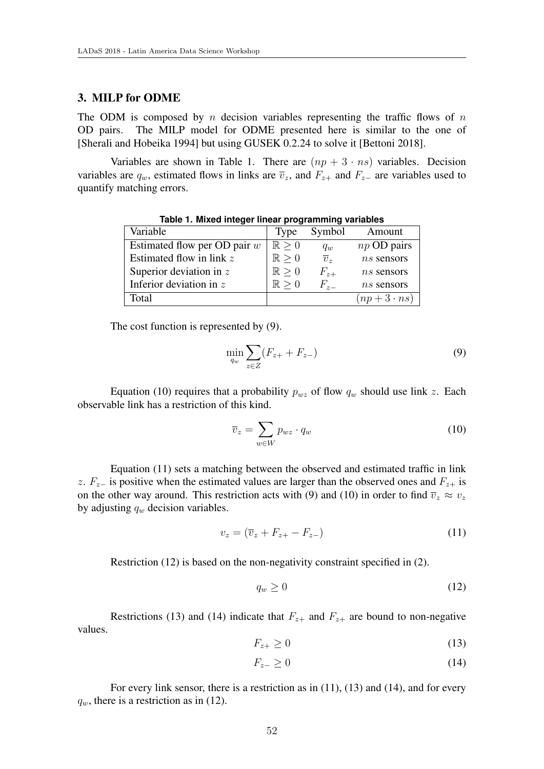## 3. MILP for ODME

The ODM is composed by *n* decision variables representing the traffic flows of *n* OD pairs. The MILP model for ODME presented here is similar to the one of [Sherali and Hobeika 1994] but using GUSEK 0.2.24 to solve it [Bettoni 2018].

Variables are shown in Table 1. There are  $(np + 3 \cdot ns)$  variables. Decision variables are  $q_w$ , estimated flows in links are  $\overline{v}_z$ , and  $F_{z+}$  and  $F_{z-}$  are variables used to quantify matching errors.

| Variable                       | <b>Type</b>         | Symbol           | Amount           |
|--------------------------------|---------------------|------------------|------------------|
| Estimated flow per OD pair $w$ | $\mathbb{R} > 0$    | $q_w$            | $np$ OD pairs    |
| Estimated flow in link $z$     | $\mathbb{R} > 0$    | $\overline{v}_z$ | $ns$ sensors     |
| Superior deviation in $z$      | $\mathbb{R} > 0$    | $F_{z+}$         | $ns$ sensors     |
| Inferior deviation in $z$      | $\mathbb{R} \geq 0$ | $F_{z-}$         | $ns$ sensors     |
| Total                          |                     |                  | $(np+3\cdot ns)$ |
|                                |                     |                  |                  |

**Table 1. Mixed integer linear programming variables**

The cost function is represented by (9).

$$
\min_{q_w} \sum_{z \in Z} (F_{z+} + F_{z-}) \tag{9}
$$

Equation (10) requires that a probability  $p_{wz}$  of flow  $q_w$  should use link *z*. Each observable link has a restriction of this kind.

$$
\overline{v}_z = \sum_{w \in W} p_{wz} \cdot q_w \tag{10}
$$

Equation (11) sets a matching between the observed and estimated traffic in link *z*.  $F_z$  is positive when the estimated values are larger than the observed ones and  $F_{z+}$  is on the other way around. This restriction acts with (9) and (10) in order to find  $\overline{v}_z \approx v_z$ by adjusting *q<sup>w</sup>* decision variables.

$$
v_z = (\overline{v}_z + F_{z+} - F_{z-}) \tag{11}
$$

Restriction (12) is based on the non-negativity constraint specified in (2).

$$
q_w \ge 0 \tag{12}
$$

Restrictions (13) and (14) indicate that  $F_{z+}$  and  $F_{z+}$  are bound to non-negative values.

$$
F_{z+} \ge 0 \tag{13}
$$

$$
F_{z-} \ge 0 \tag{14}
$$

For every link sensor, there is a restriction as in (11), (13) and (14), and for every  $q_w$ , there is a restriction as in (12).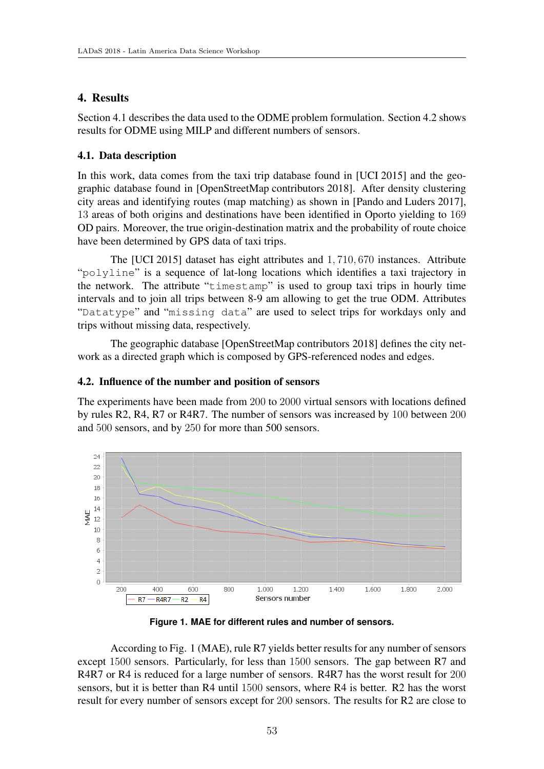# 4. Results

Section 4.1 describes the data used to the ODME problem formulation. Section 4.2 shows results for ODME using MILP and different numbers of sensors.

# 4.1. Data description

In this work, data comes from the taxi trip database found in [UCI 2015] and the geographic database found in [OpenStreetMap contributors 2018]. After density clustering city areas and identifying routes (map matching) as shown in [Pando and Luders 2017], 13 areas of both origins and destinations have been identified in Oporto yielding to 169 OD pairs. Moreover, the true origin-destination matrix and the probability of route choice have been determined by GPS data of taxi trips.

The [UCI 2015] dataset has eight attributes and 1*,* 710*,* 670 instances. Attribute "polyline" is a sequence of lat-long locations which identifies a taxi trajectory in the network. The attribute "timestamp" is used to group taxi trips in hourly time intervals and to join all trips between 8-9 am allowing to get the true ODM. Attributes "Datatype" and "missing data" are used to select trips for workdays only and trips without missing data, respectively.

The geographic database [OpenStreetMap contributors 2018] defines the city network as a directed graph which is composed by GPS-referenced nodes and edges.

## 4.2. Influence of the number and position of sensors

The experiments have been made from 200 to 2000 virtual sensors with locations defined by rules R2, R4, R7 or R4R7. The number of sensors was increased by 100 between 200 and 500 sensors, and by 250 for more than 500 sensors.



**Figure 1. MAE for different rules and number of sensors.**

According to Fig. 1 (MAE), rule R7 yields better results for any number of sensors except 1500 sensors. Particularly, for less than 1500 sensors. The gap between R7 and R4R7 or R4 is reduced for a large number of sensors. R4R7 has the worst result for 200 sensors, but it is better than R4 until 1500 sensors, where R4 is better. R2 has the worst result for every number of sensors except for 200 sensors. The results for R2 are close to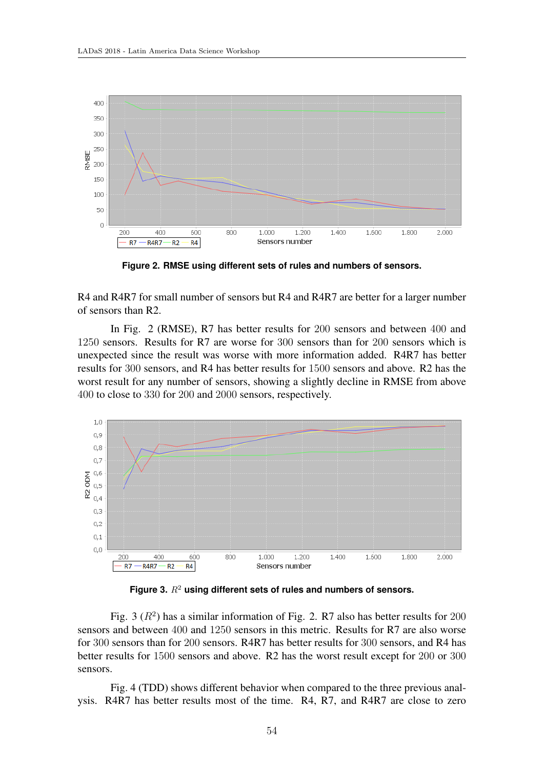

**Figure 2. RMSE using different sets of rules and numbers of sensors.**

R4 and R4R7 for small number of sensors but R4 and R4R7 are better for a larger number of sensors than R2.

In Fig. 2 (RMSE), R7 has better results for 200 sensors and between 400 and 1250 sensors. Results for R7 are worse for 300 sensors than for 200 sensors which is unexpected since the result was worse with more information added. R4R7 has better results for 300 sensors, and R4 has better results for 1500 sensors and above. R2 has the worst result for any number of sensors, showing a slightly decline in RMSE from above 400 to close to 330 for 200 and 2000 sensors, respectively.



**Figure 3.** *R*<sup>2</sup> **using different sets of rules and numbers of sensors.**

Fig. 3  $(R^2)$  has a similar information of Fig. 2. R7 also has better results for 200 sensors and between 400 and 1250 sensors in this metric. Results for R7 are also worse for 300 sensors than for 200 sensors. R4R7 has better results for 300 sensors, and R4 has better results for 1500 sensors and above. R2 has the worst result except for 200 or 300 sensors.

Fig. 4 (TDD) shows different behavior when compared to the three previous analysis. R4R7 has better results most of the time. R4, R7, and R4R7 are close to zero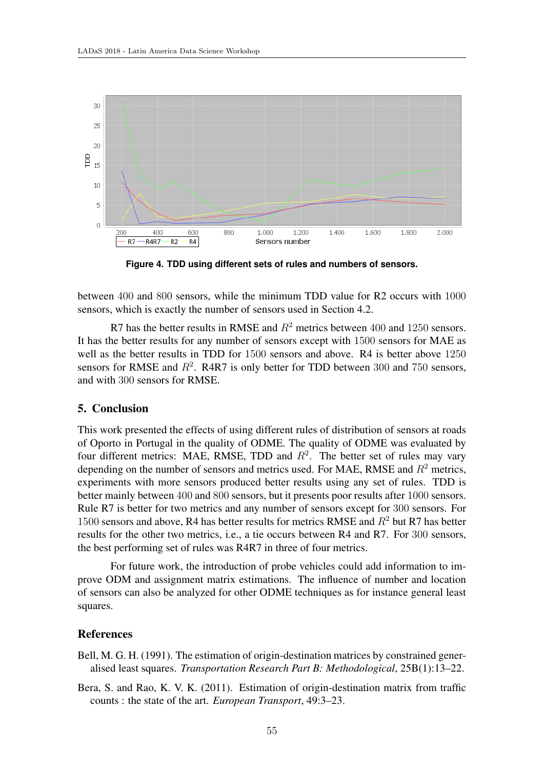

**Figure 4. TDD using different sets of rules and numbers of sensors.**

between 400 and 800 sensors, while the minimum TDD value for R2 occurs with 1000 sensors, which is exactly the number of sensors used in Section 4.2.

R7 has the better results in RMSE and  $R^2$  metrics between 400 and 1250 sensors. It has the better results for any number of sensors except with 1500 sensors for MAE as well as the better results in TDD for 1500 sensors and above. R4 is better above 1250 sensors for RMSE and  $R^2$ . R4R7 is only better for TDD between 300 and 750 sensors, and with 300 sensors for RMSE.

## 5. Conclusion

This work presented the effects of using different rules of distribution of sensors at roads of Oporto in Portugal in the quality of ODME. The quality of ODME was evaluated by four different metrics: MAE, RMSE, TDD and  $R<sup>2</sup>$ . The better set of rules may vary depending on the number of sensors and metrics used. For MAE, RMSE and *R*<sup>2</sup> metrics, experiments with more sensors produced better results using any set of rules. TDD is better mainly between 400 and 800 sensors, but it presents poor results after 1000 sensors. Rule R7 is better for two metrics and any number of sensors except for 300 sensors. For 1500 sensors and above, R4 has better results for metrics RMSE and *R*<sup>2</sup> but R7 has better results for the other two metrics, i.e., a tie occurs between R4 and R7. For 300 sensors, the best performing set of rules was R4R7 in three of four metrics.

For future work, the introduction of probe vehicles could add information to improve ODM and assignment matrix estimations. The influence of number and location of sensors can also be analyzed for other ODME techniques as for instance general least squares.

## References

Bell, M. G. H. (1991). The estimation of origin-destination matrices by constrained generalised least squares. *Transportation Research Part B: Methodological*, 25B(1):13–22.

Bera, S. and Rao, K. V. K. (2011). Estimation of origin-destination matrix from traffic counts : the state of the art. *European Transport*, 49:3–23.